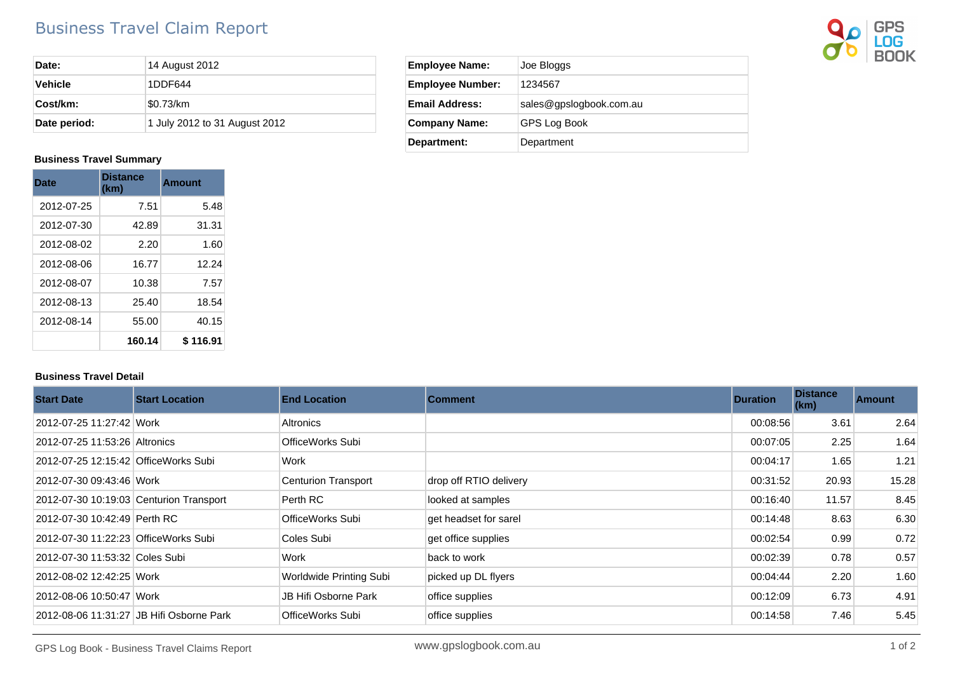## Business Travel Claim Report



| Date:        | 14 August 2012                |  |  |
|--------------|-------------------------------|--|--|
| Vehicle      | 1DDF644                       |  |  |
| Cost/km:     | \$0.73/km                     |  |  |
| Date period: | 1 July 2012 to 31 August 2012 |  |  |

## **Business Travel Summary**

| <b>Date</b> | <b>Distance</b><br>(km) | Amount   |
|-------------|-------------------------|----------|
| 2012-07-25  | 7.51                    | 5.48     |
| 2012-07-30  | 42.89                   | 31.31    |
| 2012-08-02  | 2.20                    | 1.60     |
| 2012-08-06  | 16.77                   | 12.24    |
| 2012-08-07  | 10.38                   | 7.57     |
| 2012-08-13  | 25.40                   | 18.54    |
| 2012-08-14  | 55.00                   | 40.15    |
|             | 160.14                  | \$116.91 |

## **Business Travel Detail**

| <b>Start Date</b>                       | <b>Start Location</b>                    | <b>End Location</b>        | <b>Comment</b>         | <b>Duration</b> | <b>Distance</b><br>(km) | <b>Amount</b> |
|-----------------------------------------|------------------------------------------|----------------------------|------------------------|-----------------|-------------------------|---------------|
| 2012-07-25 11:27:42 Work                |                                          | <b>Altronics</b>           |                        | 00:08:56        | 3.61                    | 2.64          |
| 2012-07-25 11:53:26 Altronics           |                                          | OfficeWorks Subi           |                        | 00:07:05        | 2.25                    | 1.64          |
| 2012-07-25 12:15:42 OfficeWorks Subi    |                                          | Work                       |                        | 00:04:17        | 1.65                    | 1.21          |
| 2012-07-30 09:43:46 Work                |                                          | <b>Centurion Transport</b> | drop off RTIO delivery | 00:31:52        | 20.93                   | 15.28         |
| 2012-07-30 10:19:03 Centurion Transport |                                          | Perth RC                   | looked at samples      | 00:16:40        | 11.57                   | 8.45          |
| 2012-07-30 10:42:49 Perth RC            |                                          | OfficeWorks Subi           | get headset for sarel  | 00:14:48        | 8.63                    | 6.30          |
| 2012-07-30 11:22:23 OfficeWorks Subi    |                                          | Coles Subi                 | get office supplies    | 00:02:54        | 0.99                    | 0.72          |
| 2012-07-30 11:53:32 Coles Subi          |                                          | Work                       | back to work           | 00:02:39        | 0.78                    | 0.57          |
| 2012-08-02 12:42:25 Work                |                                          | Worldwide Printing Subi    | picked up DL flyers    | 00:04:44        | 2.20                    | 1.60          |
| 2012-08-06 10:50:47 Work                |                                          | JB Hifi Osborne Park       | office supplies        | 00:12:09        | 6.73                    | 4.91          |
|                                         | 2012-08-06 11:31:27 JB Hifi Osborne Park | OfficeWorks Subi           | office supplies        | 00:14:58        | 7.46                    | 5.45          |

| <b>Employee Name:</b>   | Joe Bloggs              |  |  |
|-------------------------|-------------------------|--|--|
| <b>Employee Number:</b> | 1234567                 |  |  |
| Email Address:          | sales@gpslogbook.com.au |  |  |
| <b>Company Name:</b>    | <b>GPS Log Book</b>     |  |  |
| <b>Department:</b>      | Department              |  |  |